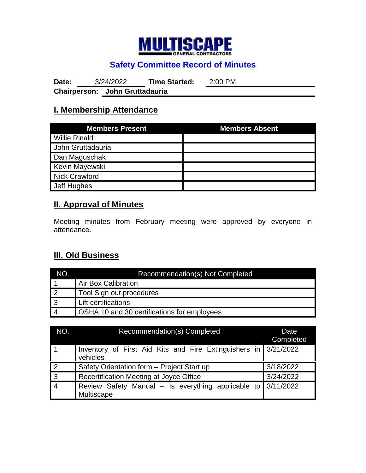

# **Safety Committee Record of Minutes**

**Date:** 3/24/2022 **Time Started:** 2:00 PM **Chairperson: John Gruttadauria**

## **I. Membership Attendance**

| <b>Members Present</b> | <b>Members Absent</b> |
|------------------------|-----------------------|
| <b>Willie Rinaldi</b>  |                       |
| John Gruttadauria      |                       |
| Dan Maguschak          |                       |
| Kevin Mayewski         |                       |
| <b>Nick Crawford</b>   |                       |
| Jeff Hughes            |                       |

### **II. Approval of Minutes**

Meeting minutes from February meeting were approved by everyone in attendance.

# **III. Old Business**

| NO.            | Recommendation(s) Not Completed                    |  |
|----------------|----------------------------------------------------|--|
|                | Air Box Calibration                                |  |
| $\overline{2}$ | Tool Sign out procedures                           |  |
| $\overline{3}$ | <b>Lift certifications</b>                         |  |
| $\overline{4}$ | <b>OSHA 10 and 30 certifications for employees</b> |  |

| NO.            | Recommendation(s) Completed                                                 | Date<br>Completed |
|----------------|-----------------------------------------------------------------------------|-------------------|
|                | Inventory of First Aid Kits and Fire Extinguishers in 3/21/2022<br>vehicles |                   |
| $\overline{2}$ | Safety Orientation form - Project Start up                                  | 3/18/2022         |
| $\overline{3}$ | Recertification Meeting at Joyce Office                                     | 3/24/2022         |
| $\vert 4$      | Review Safety Manual - Is everything applicable to 3/11/2022<br>Multiscape  |                   |